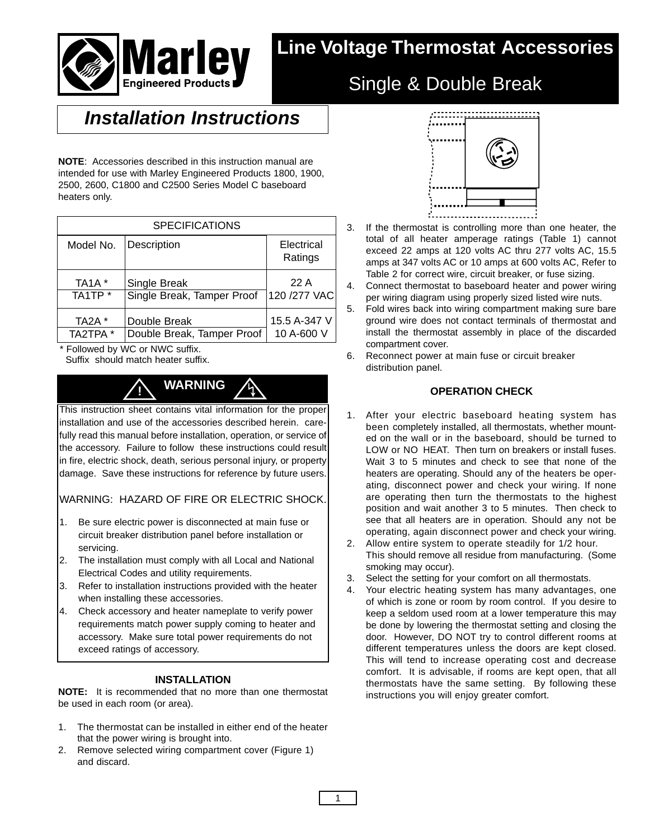

# **Line Voltage Thermostat Accessories**

## Single & Double Break

## **Installation Instructions**

**NOTE**: Accessories described in this instruction manual are intended for use with Marley Engineered Products 1800, 1900, 2500, 2600, C1800 and C2500 Series Model C baseboard heaters only.

| <b>SPECIFICATIONS</b>          |                            |                       |  |  |  |  |  |
|--------------------------------|----------------------------|-----------------------|--|--|--|--|--|
| Model No.                      | Description                | Electrical<br>Ratings |  |  |  |  |  |
| TA <sub>1</sub> A <sup>*</sup> | Single Break               | 22A                   |  |  |  |  |  |
| TA <sub>1</sub> TP *           | Single Break, Tamper Proof | 120 / 277 VAC         |  |  |  |  |  |
| TA2A *                         | Double Break               | 15.5 A-347 V          |  |  |  |  |  |
| TA2TPA *                       | Double Break, Tamper Proof | 10 A-600 V            |  |  |  |  |  |

\* Followed by WC or NWC suffix.

Suffix should match heater suffix.



This instruction sheet contains vital information for the proper installation and use of the accessories described herein. carefully read this manual before installation, operation, or service of the accessory. Failure to follow these instructions could result in fire, electric shock, death, serious personal injury, or property damage. Save these instructions for reference by future users.

### WARNING: HAZARD OF FIRE OR ELECTRIC SHOCK.

- 1. Be sure electric power is disconnected at main fuse or circuit breaker distribution panel before installation or servicing.
- 2. The installation must comply with all Local and National Electrical Codes and utility requirements.
- 3. Refer to installation instructions provided with the heater when installing these accessories.
- 4. Check accessory and heater nameplate to verify power requirements match power supply coming to heater and accessory. Make sure total power requirements do not exceed ratings of accessory.

#### **INSTALLATION**

**NOTE:** It is recommended that no more than one thermostat be used in each room (or area).

- 1. The thermostat can be installed in either end of the heater that the power wiring is brought into.
- 2. Remove selected wiring compartment cover (Figure 1) and discard.



- 3. If the thermostat is controlling more than one heater, the total of all heater amperage ratings (Table 1) cannot exceed 22 amps at 120 volts AC thru 277 volts AC, 15.5 amps at 347 volts AC or 10 amps at 600 volts AC, Refer to Table 2 for correct wire, circuit breaker, or fuse sizing.
- 4. Connect thermostat to baseboard heater and power wiring per wiring diagram using properly sized listed wire nuts.
- 5. Fold wires back into wiring compartment making sure bare ground wire does not contact terminals of thermostat and install the thermostat assembly in place of the discarded compartment cover.
- 6. Reconnect power at main fuse or circuit breaker distribution panel.

### **OPERATION CHECK**

- 1. After your electric baseboard heating system has been completely installed, all thermostats, whether mounted on the wall or in the baseboard, should be turned to LOW or NO HEAT. Then turn on breakers or install fuses. Wait 3 to 5 minutes and check to see that none of the heaters are operating. Should any of the heaters be operating, disconnect power and check your wiring. If none are operating then turn the thermostats to the highest position and wait another 3 to 5 minutes. Then check to see that all heaters are in operation. Should any not be operating, again disconnect power and check your wiring.
- 2. Allow entire system to operate steadily for 1/2 hour. This should remove all residue from manufacturing. (Some smoking may occur).
- 3. Select the setting for your comfort on all thermostats.
- 4. Your electric heating system has many advantages, one of which is zone or room by room control. If you desire to keep a seldom used room at a lower temperature this may be done by lowering the thermostat setting and closing the door. However, DO NOT try to control different rooms at different temperatures unless the doors are kept closed. This will tend to increase operating cost and decrease comfort. It is advisable, if rooms are kept open, that all thermostats have the same setting. By following these instructions you will enjoy greater comfort.